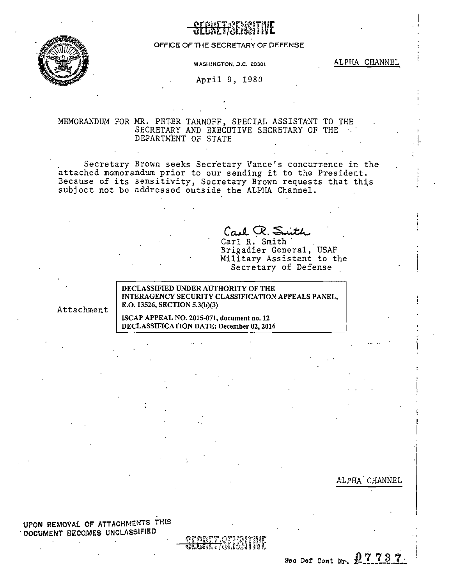

## SECREJ'i~~?:~~?~TiuE . ' <sup>w</sup>I. /<:ai.E .~l · *\1*

## OFFICE OF THE SECRETARY OF DEFENSE

**WASHINGTON, D.C. 20301** ALPHA CHANNEL

 $\vert$ 

April 9, 1980

## MEMORANDUM FOR MR. PETER TARNOFF, SPECIAL ASSISTANT TO THE SECRETARY AND EXECUTIVE SECRETARY OF THE. DEPARTMENT OF STATE

Secretary Brown seeks Secretary Vance's concurrence in the attached memorandum prior to our sending it to the President. Because of its sensitivity, Secretary Brown requests that this subject not be addressed outside the ALPHA Channel.

Carl R. Smith

Brigadier General, USAF Military Assistant to the Secretary of Defense

DECLASSIFIED UNDER AUTHORITY OF THE INTERAGENCY SECURITY CLASSIFICATION APPEALS PANEL, Attachment | E.O. 13526, SECTION 5.3(b)(3)

> ISCAP APPEAL NO. 2015-071, document no. 12 DECLASSIFICATION DATE: December 02, 2016

> > ALPHA CHANNEL

I

UPON REMOVAL OF ATTACHMENTS THIS . DOCUMENT BECOMES UNCLASSIFIED

> <del>ðlune 1</del>30 Sec Def Cont Nr.  $07737$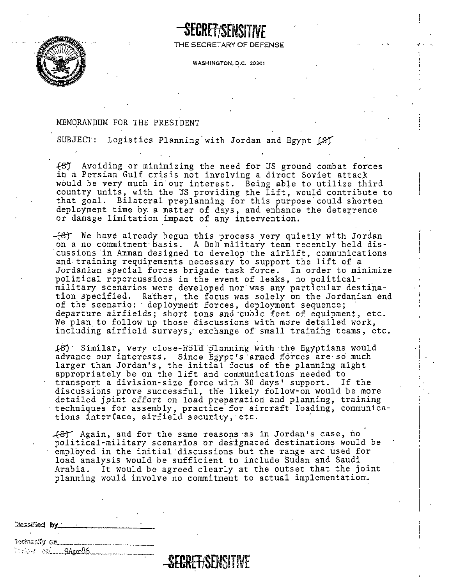

THE SECRETARY OF DEFENSE

**WASHINGTON, D.C. 20301** 

## MEMORANDUM FOR THE PRESIDENT

SUBJECT: Logistics Planning with Jordan and Egypt (8)

.f81 Avoiding or minimizing the need for US ground combat forces in a Persian Gulf crisis not involving a direct Soviet attack would be very much in·our interest. Being able to utilize third country units, with the US providing the lift, would contribute to that goal. Bilateral preplanning for this purpose could shorten deployment time by a matter of days, and enhance the deterrence or damage limitation impact of any intervention .

 $-\left\{\frac{1}{5}\right\}$  We have already begun this process very quietly with Jordan on a no commitment· basis. A DoD military team recently held discussions in Amman designed to develop·the airlift, communications and. training requirements necessary.to support the lift of a Jordanian special forces brigade task force. In order to minimize political repercussions in the event of leaks, no politicalmilitary scenarios were developed nor was any particular destination specified. Rather, the focus was solely on the Jordanian end of the scenario: deployment forces, deployment sequence;<br>departure airfields; short tons and cubic feet of equipment, etc. departure airfields; short tons and cubic feet of equipment, etc.<br>We plan to follow up those discussions with more detailed work, including airfield surveys.; exchange of small training teams, etc.

 $(8)$  Similar, very close-hold planning with the Egyptians would advance our interests. Since Egypt's armed forces are so much larger than Jordan's, the initial focus of the planning might appropriately be on the lift and communications needed to transport a division-size force with 30 days' support. If the discussions prove successful, the likely follow-on would be more detailed joint effort on load preparation and planning, training techniques for assembly, practice for aircraft loading, communications interface, airfield security, etc.

Again, and for the same reasons ·as in Jordan's case, rio political-military scenarios or designated destinations would be employed in the initial'discussions but the range arc used for load analysis would be sufficient to include Sudan and Saudi Arabia. It would be agreed clearly at the outset that the joint planning would involve no commitment to actual implementation...

| Classified by |  |  |  |  |
|---------------|--|--|--|--|
|               |  |  |  |  |
| Acolanahu an  |  |  |  |  |

Julie: onl............9Apr86...

**-SfCRETtSENSHIVE**